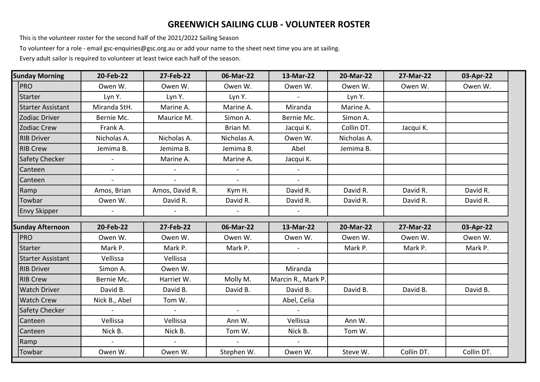## GREENWICH SAILING CLUB - VOLUNTEER ROSTER

This is the volunteer roster for the second half of the 2021/2022 Sailing Season

To volunteer for a role - email gsc-enquiries@gsc.org.au or add your name to the sheet next time you are at sailing.

Every adult sailor is required to volunteer at least twice each half of the season.

| <b>Sunday Morning</b>    | 20-Feb-22      | 27-Feb-22      | 06-Mar-22      | 13-Mar-22          | 20-Mar-22   | 27-Mar-22  | 03-Apr-22  |
|--------------------------|----------------|----------------|----------------|--------------------|-------------|------------|------------|
| <b>PRO</b>               | Owen W.        | Owen W.        | Owen W.        | Owen W.            | Owen W.     | Owen W.    | Owen W.    |
| Starter                  | Lyn Y.         | Lyn Y.         | Lyn Y.         |                    | Lyn Y.      |            |            |
| <b>Starter Assistant</b> | Miranda StH.   | Marine A.      | Marine A.      | Miranda            | Marine A.   |            |            |
| <b>Zodiac Driver</b>     | Bernie Mc.     | Maurice M.     | Simon A.       | Bernie Mc.         | Simon A.    |            |            |
| <b>Zodiac Crew</b>       | Frank A.       |                | Brian M.       | Jacqui K.          | Collin DT.  | Jacqui K.  |            |
| <b>RIB Driver</b>        | Nicholas A.    | Nicholas A.    | Nicholas A.    | Owen W.            | Nicholas A. |            |            |
| <b>RIB Crew</b>          | Jemima B.      | Jemima B.      | Jemima B.      | Abel               | Jemima B.   |            |            |
| <b>Safety Checker</b>    |                | Marine A.      | Marine A.      | Jacqui K.          |             |            |            |
| Canteen                  | $\equiv$       |                |                | $\sim$             |             |            |            |
| Canteen                  |                |                |                |                    |             |            |            |
| Ramp                     | Amos, Brian    | Amos, David R. | Kym H.         | David R.           | David R.    | David R.   | David R.   |
| Towbar                   | Owen W.        | David R.       | David R.       | David R.           | David R.    | David R.   | David R.   |
| <b>Envy Skipper</b>      |                |                | $\blacksquare$ |                    |             |            |            |
| <b>Sunday Afternoon</b>  | 20-Feb-22      | 27-Feb-22      | 06-Mar-22      | 13-Mar-22          | 20-Mar-22   | 27-Mar-22  | 03-Apr-22  |
| <b>PRO</b>               | Owen W.        | Owen W.        | Owen W.        | Owen W.            | Owen W.     | Owen W.    | Owen W.    |
| Starter                  | Mark P.        | Mark P.        | Mark P.        |                    | Mark P.     | Mark P.    | Mark P.    |
| <b>Starter Assistant</b> | Vellissa       | Vellissa       |                |                    |             |            |            |
| <b>RIB Driver</b>        | Simon A.       | Owen W.        |                | Miranda            |             |            |            |
| <b>RIB Crew</b>          | Bernie Mc.     | Harriet W.     | Molly M.       | Marcin R., Mark P. |             |            |            |
| <b>Watch Driver</b>      | David B.       | David B.       | David B.       | David B.           | David B.    | David B.   | David B.   |
| <b>Watch Crew</b>        | Nick B., Abel  | Tom W.         |                | Abel, Celia        |             |            |            |
| <b>Safety Checker</b>    | $\sim$         | $\mathbf{r}$   | $\sim$         | $\sim$             |             |            |            |
| Canteen                  | Vellissa       | Vellissa       | Ann W.         | Vellissa           | Ann W.      |            |            |
| Canteen                  | Nick B.        | Nick B.        | Tom W.         | Nick B.            | Tom W.      |            |            |
| Ramp                     | $\blacksquare$ | $\blacksquare$ | $\sim$         | $\blacksquare$     |             |            |            |
| Towbar                   | Owen W.        | Owen W.        | Stephen W.     | Owen W.            | Steve W.    | Collin DT. | Collin DT. |